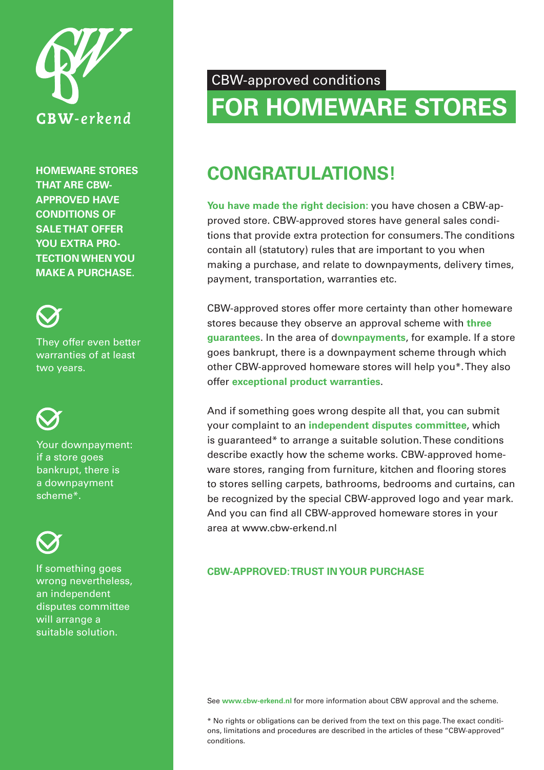

**HOMEWARE STORES THAT ARE CBW-APPROVED HAVE CONDITIONS OF SALE THAT OFFER YOU EXTRA PRO-TECTION WHEN YOU MAKE A PURCHASE.**



They offer even better warranties of at least two years.



Your downpayment: if a store goes bankrupt, there is a downpayment scheme\*.

If something goes wrong nevertheless, an independent disputes committee will arrange a suitable solution.

## CBW-approved conditions

# **FOR HOMEWARE STORES**

## **CONGRATULATIONS!**

**You have made the right decision:** you have chosen a CBW-approved store. CBW-approved stores have general sales conditions that provide extra protection for consumers. The conditions contain all (statutory) rules that are important to you when making a purchase, and relate to downpayments, delivery times, payment, transportation, warranties etc.

CBW-approved stores offer more certainty than other homeware stores because they observe an approval scheme with **three guarantees**. In the area of d**ownpayments**, for example. If a store goes bankrupt, there is a downpayment scheme through which other CBW-approved homeware stores will help you\*. They also offer **exceptional product warranties**.

And if something goes wrong despite all that, you can submit your complaint to an **independent disputes committee**, which is guaranteed\* to arrange a suitable solution. These conditions describe exactly how the scheme works. CBW-approved homeware stores, ranging from furniture, kitchen and flooring stores to stores selling carpets, bathrooms, bedrooms and curtains, can be recognized by the special CBW-approved logo and year mark. And you can find all CBW-approved homeware stores in your area at www.cbw-erkend.nl

## **CBW-APPROVED: TRUST IN YOUR PURCHASE**

See **www.cbw-erkend.nl** for more information about CBW approval and the scheme.

\* No rights or obligations can be derived from the text on this page. The exact conditions, limitations and procedures are described in the articles of these "CBW-approved" conditions.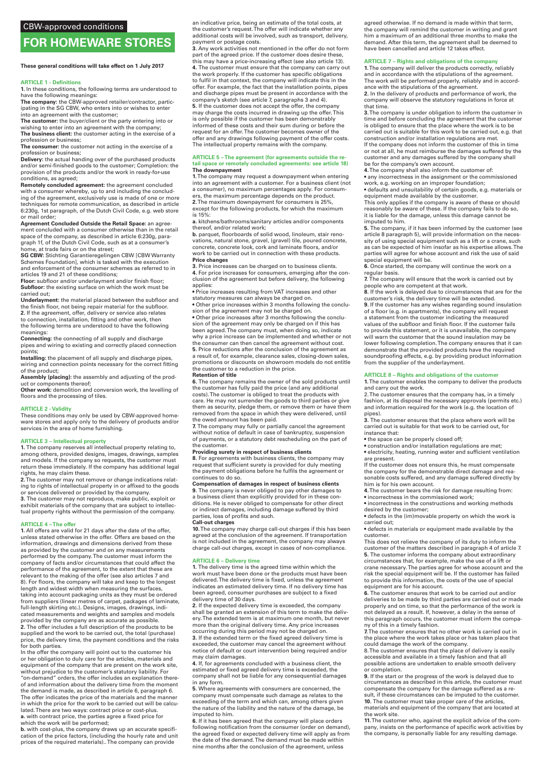## **FOR HOMEWARE STORES**

#### **These general conditions will take effect on 1 July 2017**

#### **ARTICLE 1 - Definitions**

**1.** In these conditions, the following terms are understood to<br>have the following meanings: **The company:** the CBW-approved retailer/contractor, participating in the SG CBW, who enters into or wishes to enter

into an agreement with the customer; **The customer:** the buyer/client or the party entering into or

wishing to enter into an agreement with the company; **The business client:** the customer acting in the exercise of a profession or business; **The consumer:** the customer not acting in the exercise of a

profession or business; **Delivery:** the actual handing over of the purchased products

and/or semi-finished goods to the customer; Completion: the provision of the products and/or the work in ready-for-use conditions, as agreed;

**Remotely concluded agreement:** the agreement concluded with a consumer whereby, up to and including the conclud-ing of the agreement, exclusively use is made of one or more techniques for remote communication, as described in article 6:230g, 1st paragraph, of the Dutch Civil Code, e.g. web store or mail order;

**Agreement Concluded Outside the Retail Space:** an agreement concluded with a consumer otherwise than in the retail space of the company, as described in article 6:230g, para-

graph 1f, of the Dutch Civil Code, such as at a consumer's home, at trade fairs or on the street;

**SG CBW:** Stichting Garantieregelingen CBW [CBW Warranty Schemes Foundation], which is tasked with the execution and enforcement of the consumer schemes as referred to in articles 19 and 21 of these conditions;

**Floor:** subfloor and/or underlayment and/or finish floor; **Subfloor:** the existing surface on which the work must be carried out;

**Underlayment:** the material placed between the subfloor and the finish floor, not being repair material for the subfloor. **2.** If the agreement, offer, delivery or service also relates to connection, installation, fitting and other work, then the following terms are understood to have the following meanings:

**Connecting:** the connecting of all supply and discharge pipes and wiring to existing and correctly placed connection points;

**Installing:** the placement of all supply and discharge pipes, wiring and connection points necessary for the correct fitting

of the product; **Assembly (placing):** the assembly and adjusting of the product or components thereof;

Other work: demolition and conversion work, the levelling of floors and the processing of tiles.

#### **ARTICLE 2 - Validity**

These conditions may only be used by CBW-approved homeware stores and apply only to the delivery of products and/or services in the area of home furnishing.

#### **ARTICLE 3 – Intellectual property**

**1**. The company reserves all intellectual property relating to,<br>among others, provided designs, images, drawings, samples<br>and models. If the company so requests, the customer must return these immediately. If the company has additional legal rights, he may claim these.

**2.** The customer may not remove or change indications relating to rights of intellectual property in or affixed to the goods or services delivered or provided by the company.

**3.** The customer may not reproduce, make public, exploit or exhibit materials of the company that are subject to intellectual property rights without the permission of the company.

#### **ARTICLE 4 – The offer**

**1.** All offers are valid for 21 days after the date of the offer, unless stated otherwise in the offer. Offers are based on the information, drawings and dimensions derived from these as provided by the customer and on any measurements performed by the company. The customer must inform the company of facts and/or circumstances that could affect the performance of the agreement, to the extent that these are relevant to the making of the offer (see also articles 7 and 8). For floors, the company will take and keep to the longest length and widest width when measuring the surfaces, taking into account packaging units as they must be ordered from suppliers (linear metres of carpet, packages of laminate, full-length skirting etc.). Designs, images, drawings, indi-cated measurements and weights and samples and models provided by the company are as accurate as possible. **2.** The offer includes a full description of the products to be supplied and the work to be carried out, the total (purchase) price, the delivery time, the payment conditions and the risks for both parties.

In the offer the company will point out to the customer his or her obligation to duly care for the articles, materials and equipment of the company that are present on the work site, without prejudice to the customer's statutory liability. For "on-demand" orders, the offer includes an explanation thereof and information about the delivery time from the moment the demand is made, as described in article 6, paragraph 6. The offer indicates the price of the materials and the manner in which the price for the work to be carried out will be calculated. There are two ways: contract price or cost-plus. **a.** with contract price, the parties agree a fixed price for which the work will be performed;

**b.** with cost-plus, the company draws up an accurate specification of the price factors, (including the hourly rate and unit prices of the required materials).. The company can provide

an indicative price, being an estimate of the total costs, at the customer's request. The offer will indicate whether any additional costs will be involved, such as transport, delivery, payment or postage costs.

**3.** Any work activities not mentioned in the offer do not form part of the agreed price. If the customer does desire these this may have a price-increasing effect (see also article 13). **4.** The customer must ensure that the company can carry out the work properly. If the customer has specific obligations to fulfil in that context, the company will indicate this in the offer. For example, the fact that the installation points, pipes and discharge pipes must be present in accordance with the company's sketch (see article 7, paragraphs 3 and 4). **5.** If the customer does not accept the offer, the company may charge the costs incurred in drawing up the offer. This is only possible if the customer has been demonstrably informed of these costs and their sum during or before the request for an offer. The customer becomes owner of the offer and any drawings following payment of the offer costs. The intellectual property remains with the company.

#### **ARTICLE 5 – The agreement (for agreements outside the retail space or remotely concluded agreements: see article 18) The downpayment**

**1.** The company may request a downpayment when entering into an agreement with a customer. For a business client (not a consumer), no maximum percentages apply. For consum-ers, the maximum percentage depends on the product. **2.** The maximum downpayment for consumers is 25%, except for the following products, for which the maximum is 15%:

**a.** kitchens/bathrooms/sanitary articles and/or components thereof, and/or related work;

**b.** parquet, floorboards of solid wood, linoleum, stair renovations, natural stone, gravel, (gravel) tile, poured concrete, concrete, concrete look, cork and laminate floors, and/or work to be carried out in connection with these products. **Price changes**

**3.** Price increases can be charged on to business clients. **4.** For price increases for consumers, emerging after the con-clusion of the agreement but before delivery, the following applies:

• Price increases resulting from VAT increases and other statutory measures can always be charged on.

• Other price increases within 3 months following the conclusion of the agreement may not be charged on.

• Other price increases after 3 months following the conclusion of the agreement may only be charged on if this has been agreed. The company must, when doing so, indicate why a price increase can be implemented and whether or not the consumer can then cancel the agreement without cost. **5.** Price reductions after the conclusion of the agreement as a result of, for example, clearance sales, closing-down sales, promotions or discounts on showroom models do not entitle .<br>the customer to a reduction in the price.

#### **Retention of title**

**6.** The company remains the owner of the sold products until the customer has fully paid the price (and any additional costs). The customer is obliged to treat the products with care. He may not surrender the goods to third parties or give them as security, pledge them, or remove them or have them removed from the space in which they were delivered, until the owed amount has been paid.

**7.** The company may fully or partially cancel the agreement without notice of default in case of bankruptcy, suspension of payments, or a statutory debt rescheduling on the part of the customer.

#### **Providing surety in respect of business clients**

**8.** For agreements with business clients, the company may **c**: The agreements with submissionless, the company map request that sufficient surety is provided for duly meeting the payment obligations before he fulfils the agreement or continues to do so.

## **Compensation of damages in respect of business clients<br><b>9.** The company is never obliged to pay other damages to

a business client than explicitly provided for in these con-ditions. He is never obliged to compensate for other direct or indirect damages, including damage suffered by third parties, loss of profits and such.

## **Call-out charges**

**10.** The company may charge call-out charges if this has been agreed at the conclusion of the agreement. If transportation is not included in the agreement, the company may always charge call-out charges, except in cases of non-compliance.

**ARTICLE 6 – Delivery time 1.** The delivery time is the agreed time within which the work must have been done or the products must have been delivered. The delivery time is fixed, unless the agreement indicates an estimated delivery time. If no delivery time has been agreed, consumer purchases are subject to a fixed

delivery time of 30 days. **2.** If the expected delivery time is exceeded, the company shall be granted an extension of this term to make the deliv-ery. The extended term is at maximum one month, but never more than the original delivery time. Any price increases occurring during this period may not be charged on.

**3.** If the extended term or the fixed agreed delivery time is exceeded, the customer may cancel the agreement without notice of default or court intervention being required and/or claim damages.

**4.** If, for agreements concluded with a business client, the estimated or fixed agreed delivery time is exceeded, the company shall not be liable for any consequential damages in any form.

**5.** Where agreements with consumers are concerned, the company must compensate such damage as relates to the exceeding of the term and which can, among others given the nature of the liability and the nature of the damage, be imputed to him.

**6.** If it has been agreed that the company will place orders following notification from the consumer (order on demand), the agreed fixed or expected delivery time will apply as from the date of the demand. The demand must be made within nine months after the conclusion of the agreement, unless

agreed otherwise. If no demand is made within that term, the company will remind the customer in writing and grant him a maximum of an additional three months to make the demand. After this term, the agreement shall be deemed to have been cancelled and article 12 takes effect.

#### **ARTICLE 7 – Rights and obligations of the company**

**1.** The company will deliver the products correctly, reliably and in accordance with the stipulations of the agreement. The work will be performed properly, reliably and in accord-ance with the stipulations of the agreement.

**2.** In the delivery of products and performance of work, the company will observe the statutory regulations in force at that time.

**3.** The company is under obligation to inform the customer in time and before concluding the agreement that the customer is obliged to ensure that the place where the work is to be carried out is suitable for this work to be carried out, e.g. that construction and/or installation regulations are met. If the company does not inform the customer of this in time or not at all, he must reimburse the damages suffered by the customer and any damages suffered by the company shall be for the company's own account.

**4.** The company shall also inform the customer of:

• any incorrectness in the assignment or the commissioned work, e.g. working on an improper foundation; • defaults and unsuitability of certain goods, e.g. materials or

equipment made available by the customer. This only applies if the company is aware of these or should reasonably be aware of these. If the company fails to do so,

it is liable for the damage, unless this damage cannot be imputed to him. **5.** The company, if it has been informed by the customer (see

article 8 paragraph 5), will provide information on the necessity of using special equipment such as a lift or a crane, such as can be expected of him insofar as his expertise allows. The parties will agree for whose account and risk the use of said special equipment will be.

**6.** Once started, the company will continue the work on a regular basis.

**7.** The company will ensure that the work is carried out by people who are competent at that work. **8.** If the work is delayed due to circumstances that are for the

customer's risk, the delivery time will be extended.

**9.** If the customer has any wishes regarding sound insulation of a floor (e.g. in apartments), the company will request a statement from the customer indicating the measured values of the subfloor and finish floor. If the customer fails to provide this statement, or it is unavailable, the company will warn the customer that the sound insulation may be lower following completion. The company ensures that it can demonstrate that the provided products have the required soundproofing effects, e.g. by providing product information from the supplier of the underlayment.

#### **ARTICLE 8 – Rights and obligations of the customer**

**1.** The customer enables the company to deliver the products and carry out the work.

2. The customer ensures that the company has, in a timely fashion, at its disposal the necessary approvals (permits etc.) and information required for the work (e.g. the location of pipes).

**3.** The customer ensures that the place where work will be **CERT CONTROLLER STATES CONTROLLER SERVICE WORK WITH CATTLE OUT, SCITT** instance that:

• the space can be properly closed off;

• construction and/or installation regulations are met; • electricity, heating, running water and sufficient ventilation

are present. If the customer does not ensure this, he must compensate the company for the demonstrable direct damage and reasonable costs suffered, and any damage suffered directly by

him is for his own account. **4.** The customer bears the risk for damage resulting from: • incorrectness in the commissioned work; • incorrectness in the constructions and working methods

desired by the customer; • defects in the (im)movable property on which the work is

carried out;

• defects in materials or equipment made available by the customer.

This does not relieve the company of its duty to inform the customer of the matters described in paragraph 4 of article 7. **5.** The customer informs the company about extraordinary

circumstances that, for example, make the use of a lift or crane necessary. The parties agree for whose account and the risk the special equipment will be. If the customer has failed to provide this information, the costs of the use of special equipment are for his account.

**6.** The customer ensures that work to be carried out and/or deliveries to be made by third parties are carried out or made properly and on time, so that the performance of the work is not delayed as a result. If, however, a delay in the sense of this paragraph occurs, the customer must inform the compa-

ny of this in a timely fashion. **7.** The customer ensures that no other work is carried out in the place where the work takes place or has taken place that

could damage the work of the company. 8. The customer ensures that the place of delivery is easily accessible and available in a timely fashion and that all possible actions are undertaken to enable smooth delivery or completion.

**9.** If the start or the progress of the work is delayed due to circumstances as described in this article, the customer must compensate the company for the damage suffered as a result, if these circumstances can be imputed to the customer. **10.** The customer must take proper care of the articles, materials and equipment of the company that are located at the work site.

**11.** The customer who, against the explicit advice of the com-pany, insists on the performance of specific work activities by the company, is personally liable for any resulting damage.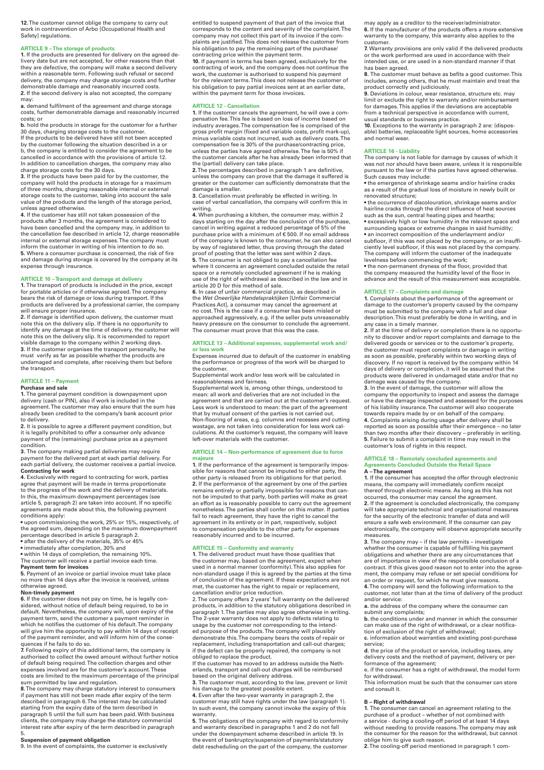**12.** The customer cannot oblige the company to carry out work in contravention of Arbo [Occupational Health and Safety] regulations.

#### **ARTICLE 9 – The storage of products**

**1.** If the products are presented for delivery on the agreed delivery date but are not accepted, for other reasons than that they are defective, the company will make a second delivery within a reasonable term. Following such refusal or second delivery, the company may charge storage costs and further demonstrable damage and reasonably incurred costs. **2.** If the second delivery is also not accepted, the company

may: **a.** demand fulfilment of the agreement and charge storage costs, further demonstrable damage and reasonably incurred costs; or

**b.** hold the products in storage for the customer for a further 30 days, charging storage costs to the customer.

If the products to be delivered have still not been accepted by the customer following the situation described in a or b, the company is entitled to consider the agreement to be cancelled in accordance with the provisions of article 12. In addition to cancellation charges, the company may also

charge storage costs for the 30 days. **3.** If the products have been paid for by the customer, the company will hold the products in storage for a maximum of three months, charging reasonable internal or external storage costs to the customer, taking into account the sale

value of the products and the length of the storage period, unless agreed otherwise. **4.** If the customer has still not taken possession of the products after 3 months, the agreement is considered to have been cancelled and the company may, in addition to the cancellation fee described in article 12, charge reasonable internal or external storage expenses. The company must inform the customer in writing of his intention to do so.

**5.** Where a consumer purchase is concerned, the risk of fire and damage during storage is covered by the company at its expense through insurance.

**ARTICLE 10 – Transport and damage at delivery 1.** The transport of products is included in the price, except for portable articles or if otherwise agreed. The company bears the risk of damage or loss during transport. If the products are delivered by a professional carrier, the company will ensure proper insurance.

**2.** If damage is identified upon delivery, the customer must note this on the delivery slip. If there is no opportunity to identify any damage at the time of delivery, the customer will note this on the delivery slip. It is recommended to report visible damage to the company within 2 working days. **3.** If the customer organises the transport personally, he must verify as far as possible whether the products are undamaged and complete, after receiving them but before the transport.

#### **ARTICLE 11 – Payment**

### **Purchase and sale**

**1.** The general payment condition is downpayment upon delivery (cash or PIN), also if work is included in the agreement. The customer may also ensure that the sum has already been credited to the company's bank account prior to delivery.

**2.** It is possible to agree a different payment condition, but it is legally prohibited to offer a consumer only advance payment of the (remaining) purchase price as a payment condition.

**3.** The company making partial deliveries may require payment for the delivered part at each partial delivery. For each partial delivery, the customer receives a partial invoice. **Contracting for work**

**4.** Exclusively with regard to contracting for work, parties agree that payment will be made in terms proportionate to the progress of the work and the delivery of materials. In this, the maximum downpayment percentages (see article 5, paragraph 2) are taken into account. If no specific

agreements are made about this, the following payment conditions apply: • upon commissioning the work, 25% or 15%, respectively, of the agreed sum, depending on the maximum downpayment percentage described in article 5 paragraph 2.

• after the delivery of the materials, 35% or 45%

• immediately after completion, 30% and • within 14 days of completion, the remaining 10%. The customer will receive a partial invoice each time. **Payment term for invoices**

**5.** Payment of an invoice or partial invoice must take place no more than 14 days after the invoice is received, unless otherwise agreed.

### **Non-timely payment**

**6.** If the customer does not pay on time, he is legally con-<br>sidered, without notice of default being required, to be in default. Nevertheless, the company will, upon expiry of the payment term, send the customer a payment reminder in which he notifies the customer of his default. The company will give him the opportunity to pay within 14 days of receipt of the payment reminder, and will inform him of the conse-quences if he fails to do so. **7.** Following expiry of this additional term, the company is

authorised to collect the owed amount without further notice of default being required. The collection charges and other expenses involved are for the customer's account. These costs are limited to the maximum percentage of the principal sum permitted by law and regulation.

**8.** The company may charge statutory interest to consumers if payment has still not been made after expiry of the term described in paragraph 6. The interest may be calculated starting from the expiry date of the term described in paragraph 5 until the full sum has been paid. With business clients, the company may charge the statutory commercial interest rate after expiry of the term described in paragraph 5.

**Suspension of payment obligation**

9. In the event of complaints, the customer is exclusively

entitled to suspend payment of that part of the invoice that corresponds to the content and severity of the complaint. The company may not collect this part of its invoice if the complaints are justified. This does not release the customer from his obligation to pay the remaining part of the purchase/ contracting price within the payment term. **10.** If payment in terms has been agreed, exclusively for the contracting of work, and the company does not continue the work, the customer is authorised to suspend his payment for the relevant terms. This does not release the customer of his obligation to pay partial invoices sent at an earlier date, within the payment term for those invoices.

#### **ARTICLE 12 - Cancellation**

**1.** If the customer cancels the agreement, he will owe a com-pensation fee. This fee is based on loss of income based on industry averages. The compensation fee is comprised of the gross profit margin (fixed and variable costs, profit mark-up), minus variable costs not incurred, such as delivery costs. The compensation fee is 30% of the purchase/contracting price, unless the parties have agreed otherwise. The fee is 50% if the customer cancels after he has already been informed that the (partial) delivery can take place.

**2.** The percentages described in paragraph 1 are definitive, unless the company can prove that the damage it suffered is greater or the customer can sufficiently demonstrate that the damage is smaller. **3.** Cancellation must preferably be effected in writing. In

case of verbal cancellation, the company will confirm this in writing.

**4.** When purchasing a kitchen, the consumer may, within 2 days starting on the day after the conclusion of the purchase, cancel in writing against a reduced percentage of 5% of the purchase price with a minimum of € 500. If no email address of the company is known to the consumer, he can also cancel by way of registered letter, thus proving through the dated proof of posting that the letter was sent within 2 days. **5.** The consumer is not obliged to pay a cancellation fee

where it concerns an agreement concluded outside the retail space or a remotely concluded agreement if he is making use of the right of withdrawal as described in the law and in article 20 D for this method of sale.

**6.** In case of unfair commercial practice, as described in the *Wet Oneerlijke Handelspraktijken* [Unfair Commercial Practices Act], a consumer may cancel the agreement at no cost. This is the case if a consumer has been misled or approached aggressively, e.g. if the seller puts unreasonably heavy pressure on the consumer to conclude the agreement. The consumer must prove that this was the case.

#### **ARTICLE 13 – Additional expenses, supplemental work and/ or less work**

Expenses incurred due to default of the customer in enabling the performance or progress of the work will be charged to the customer.

Supplemental work and/or less work will be calculated in reasonableness and fairness.

Supplemental work is, among other things, understood to mean: all work and deliveries that are not included in the agreement and that are carried out at the customer's request. Less work is understood to mean: the part of the agreement that by mutual consent of the parties is not carried out. Non-flooring of areas, e.g. columns and recesses and cutting wastage, are not taken into consideration for less work calculations. At the customer's request, the company will leave left-over materials with the customer.

#### **ARTICLE 14 – Non-performance of agreement due to force majeure**

**1.** If the performance of the agreement is temporarily impossible for reasons that cannot be imputed to either party, the other party is released from its obligations for that period. **2.** If the performance of the agreement by one of the parties remains entirely or partially impossible for reasons that cannot be imputed to that party, both parties will make as great an effort as is reasonably possible to carry out the agreement nonetheless. The parties shall confer on this matter. If parties fail to reach agreement, they have the right to cancel the agreement in its entirety or in part, respectively, subject to compensation payable to the other party for expenses reasonably incurred and to be incurred.

**ARTICLE 15 – Conformity and warranty 1.** The delivered product must have those qualities that the customer may, based on the agreement, expect when used in a normal manner (conformity). This also applies for non-standard usage if this is agreed by the parties at the time of conclusion of the agreement. If these expectations are not met, the customer has the right to repair or replacement,

cancellation and/or price reduction. 2. The company offers 2 years' full warranty on the delivered products, in addition to the statutory obligations described in paragraph 1. The parties may also agree otherwise in writing. The 2-year warranty does not apply to defects relating to usage by the customer not corresponding to the intended purpose of the products. The company will plausibly demonstrate this. The company bears the costs of repair or replacement, including transportation and call-out charges; if the defect can be properly repaired, the company is not obliged to replace the product.

If the customer has moved to an address outside the Netherlands, transport and call-out charges will be reimbursed based on the original delivery address. **3.** The customer must, according to the law, prevent or limit

his damage to the greatest possible extent. **4.** Even after the two-year warranty in paragraph 2, the

customer may still have rights under the law (paragraph 1). In such event, the company cannot invoke the expiry of this warranty.

**5.** The obligations of the company with regard to conformity and warranty described in paragraphs 1 and 2 do not fall under the downpayment scheme described in article 19. In the event of bankruptcy/suspension of payments/statutory debt rescheduling on the part of the company, the customer

may apply as a creditor to the receiver/administrator. **6.** If the manufacturer of the products offers a more extensive warranty to the company, this warranty also applies to the customer.

**7.** Warranty provisions are only valid if the delivered products or the work performed are used in accordance with their intended use, or are used in a non-standard manner if that has been agreed.

**8.** The customer must behave as befits a good customer. This includes, among others, that he must maintain and treat the product correctly and judiciously.

**9.** Deviations in colour, wear resistance, structure etc. may In the right to warranty and/or reimbursement for damages. This applies if the deviations are acceptable from a technical perspective in accordance with current, usual standards or business practice.

**10.** Exceptions to the warranty in paragraph 2 are: (disposable) batteries, replaceable light sources, home accessories and normal wear.

## **ARTICLE 16 - Liability**

The company is not liable for damage by causes of which it was not nor should have been aware, unless it is responsible pursuant to the law or if the parties have agreed otherwise. Such causes may include:

• the emergence of shrinkage seams and/or hairline cracks as a result of the gradual loss of moisture in newly built or renovated structure;

• the occurrence of discolouration, shrinkage seams and/or hairline cracks through the direct influence of heat sources such as the sun, central heating pipes and hearths; • excessively high or low humidity in the relevant space and surrounding spaces or extreme changes in said humidity; • an incorrect composition of the underlayment and/or subfloor, if this was not placed by the company, or an insuffi-ciently level subfloor, if this was not placed by the company. The company will inform the customer of the inadequate levelness before commencing the work;

• the non-permanent dryness of the floor, provided that the company measured the humidity level of the floor in advance and the result of this measurement was acceptable.

**ARTICLE 17 – Complaints and damage 1.** Complaints about the performance of the agreement or damage to the customer's property caused by the company must be submitted to the company with a full and clear description. This must preferably be done in writing, and in any case in a timely manner.

**2.** If at the time of delivery or completion there is no opportu-nity to discover and/or report complaints and damage to the delivered goods or services or to the customer's property, the customer must report complaints or damage in writing as soon as possible, preferably within two working days of discovery. If no report is received by the company within 14 days of delivery or completion, it will be assumed that the products were delivered in undamaged state and/or that no

damage was caused by the company. **3.** In the event of damage, the customer will allow the company the opportunity to inspect and assess the damage or have the damage inspected and assessed for the purposes of his liability insurance. The customer will also cooperate towards repairs made by or on behalf of the company.

**4.** Complaints arising during usage after delivery shall be reported as soon as possible after their emergence – no later than two months after their discovery – preferably in writing. **5.** Failure to submit a complaint in time may result in the customer's loss of rights in this respect.

### **ARTICLE 18 – Remotely concluded agreements and Agreements Concluded Outside the Retail Space A – The agreement**

**1.** If the consumer has accepted the offer through electronic means, the company will immediately confirm receipt thereof through electronic means. As long as this has not

occurred, the consumer may cancel the agreement. **2.** If the agreement is concluded electronically, the company will take appropriate technical and organisational measures for the security of the electronic transfer of data and will ensure a safe web environment. If the consumer can pay electronically, the company will observe appropriate security measures.

**3.** The company may – if the law permits – investigate whether the consumer is capable of fulfilling his payment obligations and whether there are any circumstances that are of importance in view of the responsible conclusion of a contract. If this gives good reason not to enter into the agreement, the company may refuse or set special conditions for<br>an order or request, for which he must give reasons.<br>4. The company will send the following information to the<br>customer, not later than at the time of delivery of

and/or service: **a.** the address of the company where the consumer can

submit any complaints; **b.** the conditions under and manner in which the consumer can make use of the right of withdrawal, or a clear notifica-tion of exclusion of the right of withdrawal; **c.** information about warranties and existing post-purchase service;

**d.** the price of the product or service, including taxes, any delivery costs and the method of payment, delivery or per-

formance of the agreement; e. if the consumer has a right of withdrawal, the model form for withdrawal.

This information must be such that the consumer can store and consult it.

#### **B – Right of withdrawal**

**1.** The consumer can cancel an agreement relating to the purchase of a product – whether of not combined with a service - during a cooling-off period of at least 14 days without needing to provide reasons. The company may ask the consumer for the reason for the withdrawal, but cannot oblige him to give such reason.

**2.** The cooling-off period mentioned in paragraph 1 com-